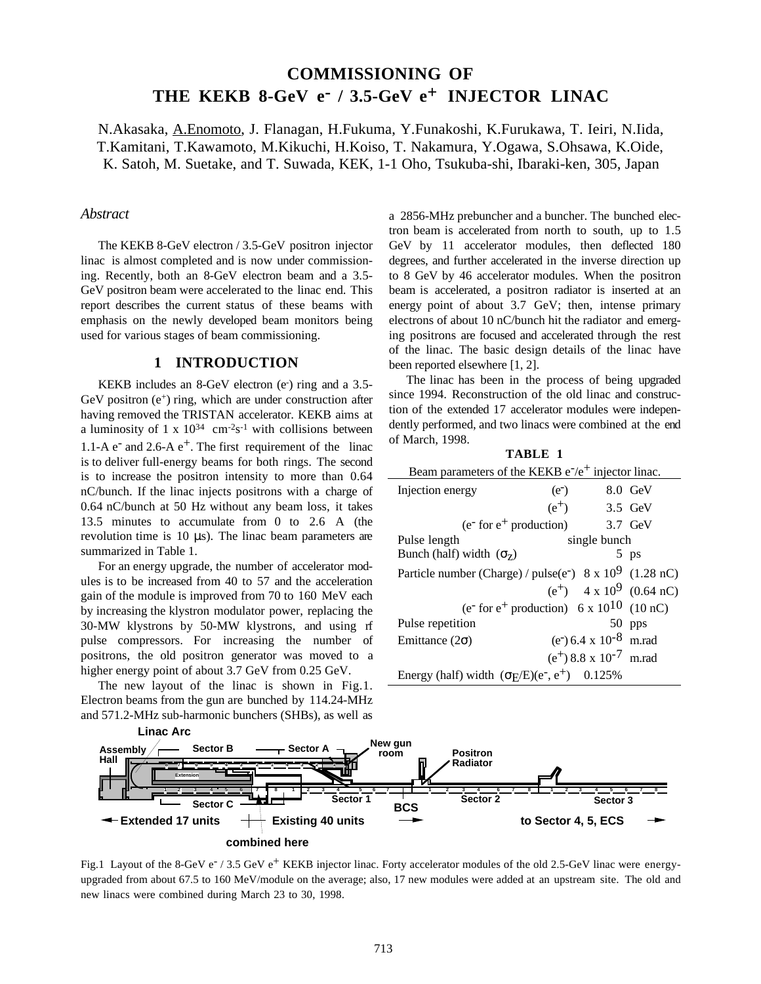# **COMMISSIONING OF THE KEKB 8-GeV e- / 3.5-GeV e+ INJECTOR LINAC**

N.Akasaka, A.Enomoto, J. Flanagan, H.Fukuma, Y.Funakoshi, K.Furukawa, T. Ieiri, N.Iida, T.Kamitani, T.Kawamoto, M.Kikuchi, H.Koiso, T. Nakamura, Y.Ogawa, S.Ohsawa, K.Oide, K. Satoh, M. Suetake, and T. Suwada, KEK, 1-1 Oho, Tsukuba-shi, Ibaraki-ken, 305, Japan

## *Abstract*

The KEKB 8-GeV electron / 3.5-GeV positron injector linac is almost completed and is now under commissioning. Recently, both an 8-GeV electron beam and a 3.5- GeV positron beam were accelerated to the linac end. This report describes the current status of these beams with emphasis on the newly developed beam monitors being used for various stages of beam commissioning.

# **1 INTRODUCTION**

KEKB includes an 8-GeV electron (e<sup>-</sup>) ring and a 3.5-GeV positron  $(e^+)$  ring, which are under construction after having removed the TRISTAN accelerator. KEKB aims at a luminosity of 1 x  $10^{34}$  cm<sup>-2</sup>s<sup>-1</sup> with collisions between 1.1-A  $e^-$  and 2.6-A  $e^+$ . The first requirement of the linac is to deliver full-energy beams for both rings. The second is to increase the positron intensity to more than 0.64 nC/bunch. If the linac injects positrons with a charge of 0.64 nC/bunch at 50 Hz without any beam loss, it takes 13.5 minutes to accumulate from 0 to 2.6 A (the revolution time is  $10 \mu s$ . The linac beam parameters are summarized in Table 1.

For an energy upgrade, the number of accelerator modules is to be increased from 40 to 57 and the acceleration gain of the module is improved from 70 to 160 MeV each by increasing the klystron modulator power, replacing the 30-MW klystrons by 50-MW klystrons, and using rf pulse compressors. For increasing the number of positrons, the old positron generator was moved to a higher energy point of about 3.7 GeV from 0.25 GeV.

The new layout of the linac is shown in Fig.1. Electron beams from the gun are bunched by 114.24-MHz and 571.2-MHz sub-harmonic bunchers (SHBs), as well as a 2856-MHz prebuncher and a buncher. The bunched electron beam is accelerated from north to south, up to 1.5 GeV by 11 accelerator modules, then deflected 180 degrees, and further accelerated in the inverse direction up to 8 GeV by 46 accelerator modules. When the positron beam is accelerated, a positron radiator is inserted at an energy point of about 3.7 GeV; then, intense primary electrons of about 10 nC/bunch hit the radiator and emerging positrons are focused and accelerated through the rest of the linac. The basic design details of the linac have been reported elsewhere [1, 2].

The linac has been in the process of being upgraded since 1994. Reconstruction of the old linac and construction of the extended 17 accelerator modules were independently performed, and two linacs were combined at the end of March, 1998.

**TABLE 1**

| Beam parameters of the KEKB $e^-/e^+$ injector linac.                           |              |                                                |                                       |
|---------------------------------------------------------------------------------|--------------|------------------------------------------------|---------------------------------------|
| Injection energy                                                                | $(e^-)$      |                                                | 8.0 GeV                               |
|                                                                                 | $(e^+)$      |                                                | 3.5 GeV                               |
| $(e- for e+ production)$                                                        |              | 3.7 GeV                                        |                                       |
| Pulse length                                                                    | single bunch |                                                |                                       |
| Bunch (half) width $(\sigma_{z})$                                               |              |                                                | $5$ ps                                |
| Particle number (Charge) / pulse(e <sup>-</sup> ) 8 x 10 <sup>9</sup> (1.28 nC) |              |                                                |                                       |
|                                                                                 |              |                                                | $(e^+)$ 4 x 10 <sup>9</sup> (0.64 nC) |
| (e <sup>-</sup> for e <sup>+</sup> production) 6 x 10 <sup>10</sup> (10 nC)     |              |                                                |                                       |
| Pulse repetition                                                                |              |                                                | 50 pps                                |
| Emittance $(2\sigma)$                                                           |              | (e <sup>-</sup> ) 6.4 x 10 <sup>-8</sup> m.rad |                                       |
|                                                                                 |              | $(e^+)$ 8.8 x 10 <sup>-7</sup> m.rad           |                                       |
| Energy (half) width $(\sigma$ F/E)(e <sup>-</sup> , e <sup>+</sup> ) 0.125%     |              |                                                |                                       |



Fig.1 Layout of the 8-GeV e<sup>-</sup> / 3.5 GeV e<sup>+</sup> KEKB injector linac. Forty accelerator modules of the old 2.5-GeV linac were energyupgraded from about 67.5 to 160 MeV/module on the average; also, 17 new modules were added at an upstream site. The old and new linacs were combined during March 23 to 30, 1998.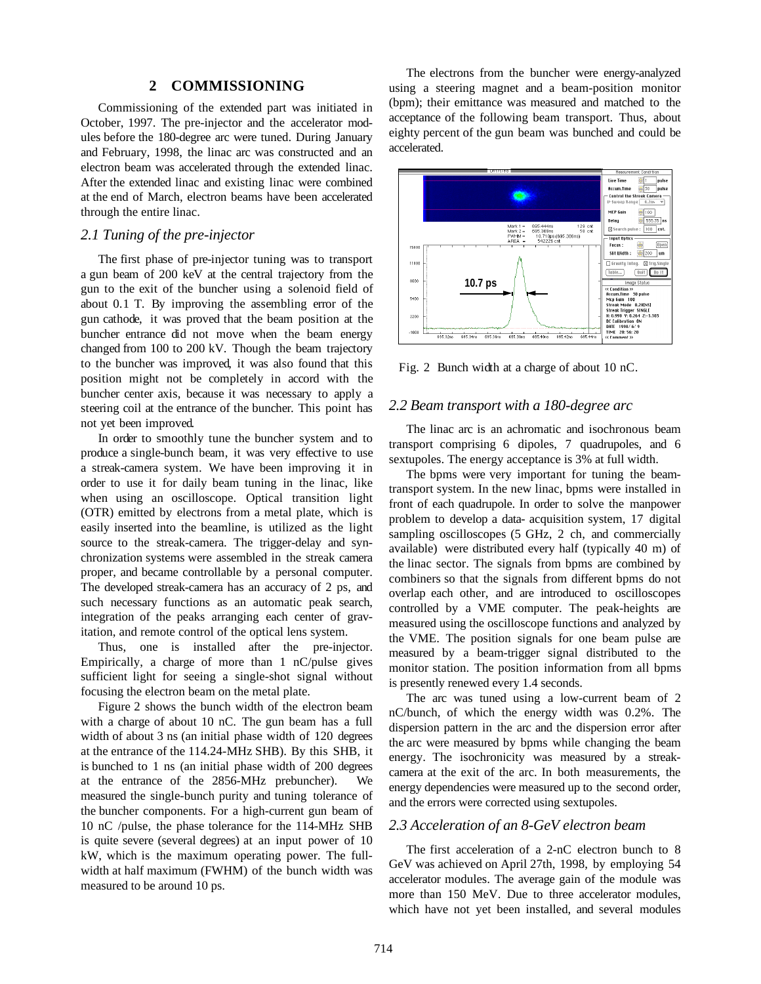## **2 COMMISSIONING**

Commissioning of the extended part was initiated in October, 1997. The pre-injector and the accelerator modules before the 180-degree arc were tuned. During January and February, 1998, the linac arc was constructed and an electron beam was accelerated through the extended linac. After the extended linac and existing linac were combined at the end of March, electron beams have been accelerated through the entire linac.

#### *2.1 Tuning of the pre-injector*

The first phase of pre-injector tuning was to transport a gun beam of 200 keV at the central trajectory from the gun to the exit of the buncher using a solenoid field of about 0.1 T. By improving the assembling error of the gun cathode, it was proved that the beam position at the buncher entrance did not move when the beam energy changed from 100 to 200 kV. Though the beam trajectory to the buncher was improved, it was also found that this position might not be completely in accord with the buncher center axis, because it was necessary to apply a steering coil at the entrance of the buncher. This point has not yet been improved.

In order to smoothly tune the buncher system and to produce a single-bunch beam, it was very effective to use a streak-camera system. We have been improving it in order to use it for daily beam tuning in the linac, like when using an oscilloscope. Optical transition light (OTR) emitted by electrons from a metal plate, which is easily inserted into the beamline, is utilized as the light source to the streak-camera. The trigger-delay and synchronization systems were assembled in the streak camera proper, and became controllable by a personal computer. The developed streak-camera has an accuracy of 2 ps, and such necessary functions as an automatic peak search, integration of the peaks arranging each center of gravitation, and remote control of the optical lens system.

Thus, one is installed after the pre-injector. Empirically, a charge of more than 1 nC/pulse gives sufficient light for seeing a single-shot signal without focusing the electron beam on the metal plate.

Figure 2 shows the bunch width of the electron beam with a charge of about 10 nC. The gun beam has a full width of about 3 ns (an initial phase width of 120 degrees at the entrance of the 114.24-MHz SHB). By this SHB, it is bunched to 1 ns (an initial phase width of 200 degrees at the entrance of the 2856-MHz prebuncher). We measured the single-bunch purity and tuning tolerance of the buncher components. For a high-current gun beam of 10 nC /pulse, the phase tolerance for the 114-MHz SHB is quite severe (several degrees) at an input power of 10 kW, which is the maximum operating power. The fullwidth at half maximum (FWHM) of the bunch width was measured to be around 10 ps.

The electrons from the buncher were energy-analyzed using a steering magnet and a beam-position monitor (bpm); their emittance was measured and matched to the acceptance of the following beam transport. Thus, about eighty percent of the gun beam was bunched and could be accelerated.



Fig. 2 Bunch width at a charge of about 10 nC.

#### *2.2 Beam transport with a 180-degree arc*

The linac arc is an achromatic and isochronous beam transport comprising 6 dipoles, 7 quadrupoles, and 6 sextupoles. The energy acceptance is 3% at full width.

The bpms were very important for tuning the beamtransport system. In the new linac, bpms were installed in front of each quadrupole. In order to solve the manpower problem to develop a data- acquisition system, 17 digital sampling oscilloscopes (5 GHz, 2 ch, and commercially available) were distributed every half (typically 40 m) of the linac sector. The signals from bpms are combined by combiners so that the signals from different bpms do not overlap each other, and are introduced to oscilloscopes controlled by a VME computer. The peak-heights are measured using the oscilloscope functions and analyzed by the VME. The position signals for one beam pulse are measured by a beam-trigger signal distributed to the monitor station. The position information from all bpms is presently renewed every 1.4 seconds.

The arc was tuned using a low-current beam of 2 nC/bunch, of which the energy width was 0.2%. The dispersion pattern in the arc and the dispersion error after the arc were measured by bpms while changing the beam energy. The isochronicity was measured by a streakcamera at the exit of the arc. In both measurements, the energy dependencies were measured up to the second order, and the errors were corrected using sextupoles.

### *2.3 Acceleration of an 8-GeV electron beam*

The first acceleration of a 2-nC electron bunch to 8 GeV was achieved on April 27th, 1998, by employing 54 accelerator modules. The average gain of the module was more than 150 MeV. Due to three accelerator modules, which have not yet been installed, and several modules